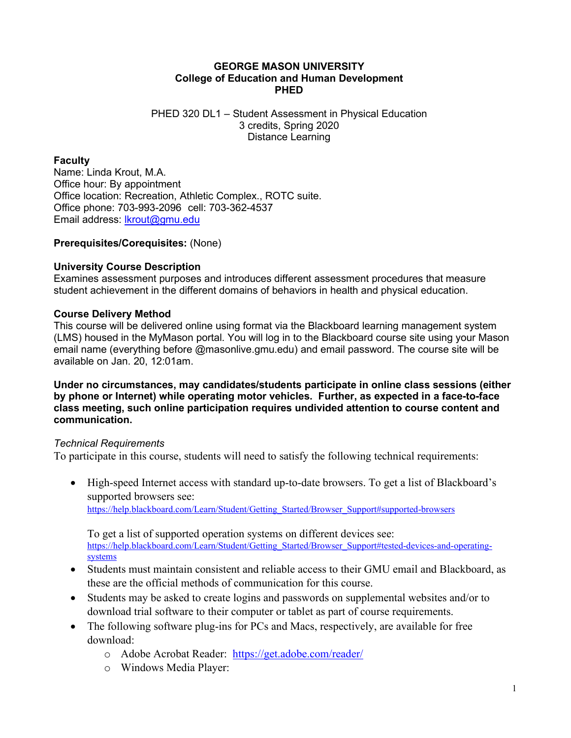## **GEORGE MASON UNIVERSITY College of Education and Human Development PHED**

#### PHED 320 DL1 – Student Assessment in Physical Education 3 credits, Spring 2020 Distance Learning

## **Faculty**

Name: Linda Krout, M.A. Office hour: By appointment Office location: Recreation, Athletic Complex., ROTC suite. Office phone: 703-993-2096 cell: 703-362-4537 Email address: [lkrout@gmu.edu](mailto:lkrout@gmu.edu)

#### **Prerequisites/Corequisites:** (None)

#### **University Course Description**

Examines assessment purposes and introduces different assessment procedures that measure student achievement in the different domains of behaviors in health and physical education.

#### **Course Delivery Method**

This course will be delivered online using format via the Blackboard learning management system (LMS) housed in the MyMason portal. You will log in to the Blackboard course site using your Mason email name (everything before @masonlive.gmu.edu) and email password. The course site will be available on Jan. 20, 12:01am.

**Under no circumstances, may candidates/students participate in online class sessions (either by phone or Internet) while operating motor vehicles. Further, as expected in a face-to-face class meeting, such online participation requires undivided attention to course content and communication.**

#### *Technical Requirements*

To participate in this course, students will need to satisfy the following technical requirements:

• High-speed Internet access with standard up-to-date browsers. To get a list of Blackboard's supported browsers see: [https://help.blackboard.com/Learn/Student/Getting\\_Started/Browser\\_Support#supported-browsers](https://help.blackboard.com/Learn/Student/Getting_Started/Browser_Support#supported-browsers)

To get a list of supported operation systems on different devices see: [https://help.blackboard.com/Learn/Student/Getting\\_Started/Browser\\_Support#tested-devices-and-operating](https://help.blackboard.com/Learn/Student/Getting_Started/Browser_Support#tested-devices-and-operating-systems)[systems](https://help.blackboard.com/Learn/Student/Getting_Started/Browser_Support#tested-devices-and-operating-systems)

- Students must maintain consistent and reliable access to their GMU email and Blackboard, as these are the official methods of communication for this course.
- Students may be asked to create logins and passwords on supplemental websites and/or to download trial software to their computer or tablet as part of course requirements.
- The following software plug-ins for PCs and Macs, respectively, are available for free download:
	- o Adobe Acrobat Reader: <https://get.adobe.com/reader/>
	- o Windows Media Player: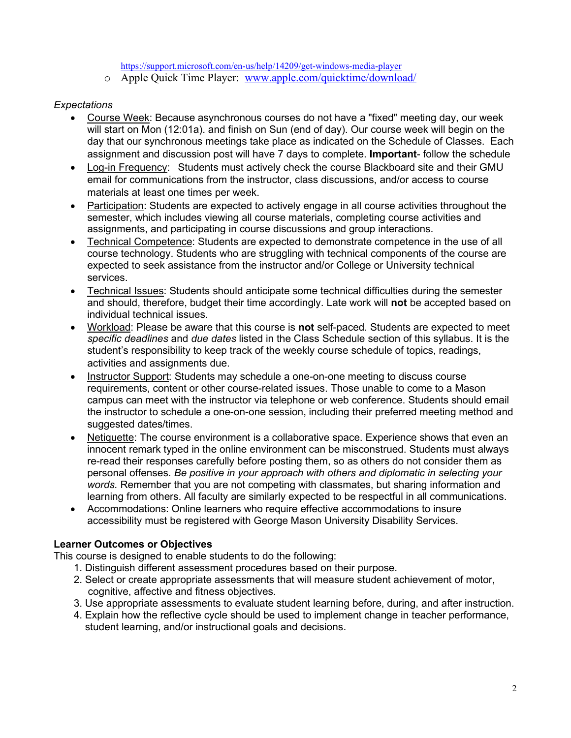<https://support.microsoft.com/en-us/help/14209/get-windows-media-player>

o Apple Quick Time Player: [www.apple.com/quicktime/download/](http://www.apple.com/quicktime/download/)

## *Expectations*

- Course Week: Because asynchronous courses do not have a "fixed" meeting day, our week will start on Mon (12:01a). and finish on Sun (end of day). Our course week will begin on the day that our synchronous meetings take place as indicated on the Schedule of Classes. Each assignment and discussion post will have 7 days to complete. **Important**- follow the schedule
- Log-in Frequency: Students must actively check the course Blackboard site and their GMU email for communications from the instructor, class discussions, and/or access to course materials at least one times per week.
- Participation: Students are expected to actively engage in all course activities throughout the semester, which includes viewing all course materials, completing course activities and assignments, and participating in course discussions and group interactions.
- Technical Competence: Students are expected to demonstrate competence in the use of all course technology. Students who are struggling with technical components of the course are expected to seek assistance from the instructor and/or College or University technical services.
- Technical Issues: Students should anticipate some technical difficulties during the semester and should, therefore, budget their time accordingly. Late work will **not** be accepted based on individual technical issues.
- Workload: Please be aware that this course is **not** self-paced. Students are expected to meet *specific deadlines* and *due dates* listed in the Class Schedule section of this syllabus. It is the student's responsibility to keep track of the weekly course schedule of topics, readings, activities and assignments due.
- Instructor Support: Students may schedule a one-on-one meeting to discuss course requirements, content or other course-related issues. Those unable to come to a Mason campus can meet with the instructor via telephone or web conference. Students should email the instructor to schedule a one-on-one session, including their preferred meeting method and suggested dates/times.
- Netiquette: The course environment is a collaborative space. Experience shows that even an innocent remark typed in the online environment can be misconstrued. Students must always re-read their responses carefully before posting them, so as others do not consider them as personal offenses. *Be positive in your approach with others and diplomatic in selecting your words.* Remember that you are not competing with classmates, but sharing information and learning from others. All faculty are similarly expected to be respectful in all communications.
- Accommodations: Online learners who require effective accommodations to insure accessibility must be registered with George Mason University Disability Services.

# **Learner Outcomes or Objectives**

This course is designed to enable students to do the following:

- 1. Distinguish different assessment procedures based on their purpose.
- 2. Select or create appropriate assessments that will measure student achievement of motor, cognitive, affective and fitness objectives.
- 3. Use appropriate assessments to evaluate student learning before, during, and after instruction.
- 4. Explain how the reflective cycle should be used to implement change in teacher performance, student learning, and/or instructional goals and decisions.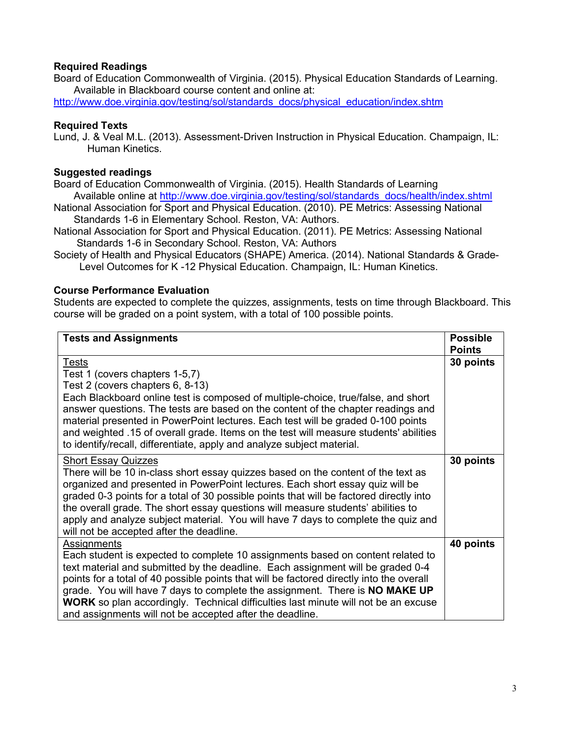## **Required Readings**

Board of Education Commonwealth of Virginia. (2015). Physical Education Standards of Learning. Available in Blackboard course content and online at:

[http://www.doe.virginia.gov/testing/sol/standards\\_docs/physical\\_education/index.shtm](http://www.doe.virginia.gov/testing/sol/standards_docs/physical_education/index.shtm)

## **Required Texts**

Lund, J. & Veal M.L. (2013). Assessment-Driven Instruction in Physical Education. Champaign, IL: Human Kinetics.

## **Suggested readings**

Board of Education Commonwealth of Virginia. (2015). Health Standards of Learning Available online at [http://www.doe.virginia.gov/testing/sol/standards\\_docs/health/index.shtml](http://www.doe.virginia.gov/testing/sol/standards_docs/health/index.shtml)

National Association for Sport and Physical Education. (2010). PE Metrics: Assessing National Standards 1-6 in Elementary School. Reston, VA: Authors.

National Association for Sport and Physical Education. (2011). PE Metrics: Assessing National Standards 1-6 in Secondary School. Reston, VA: Authors

Society of Health and Physical Educators (SHAPE) America. (2014). National Standards & Grade- Level Outcomes for K -12 Physical Education. Champaign, IL: Human Kinetics.

#### **Course Performance Evaluation**

Students are expected to complete the quizzes, assignments, tests on time through Blackboard. This course will be graded on a point system, with a total of 100 possible points.

| <b>Tests and Assignments</b>                                                                                                                                                                                                                                                                                                                                                                                                                                                                                          | <b>Possible</b><br><b>Points</b> |
|-----------------------------------------------------------------------------------------------------------------------------------------------------------------------------------------------------------------------------------------------------------------------------------------------------------------------------------------------------------------------------------------------------------------------------------------------------------------------------------------------------------------------|----------------------------------|
| Tests<br>Test 1 (covers chapters 1-5,7)<br>Test 2 (covers chapters 6, 8-13)<br>Each Blackboard online test is composed of multiple-choice, true/false, and short<br>answer questions. The tests are based on the content of the chapter readings and<br>material presented in PowerPoint lectures. Each test will be graded 0-100 points<br>and weighted .15 of overall grade. Items on the test will measure students' abilities<br>to identify/recall, differentiate, apply and analyze subject material.           | 30 points                        |
| <b>Short Essay Quizzes</b><br>There will be 10 in-class short essay quizzes based on the content of the text as<br>organized and presented in PowerPoint lectures. Each short essay quiz will be<br>graded 0-3 points for a total of 30 possible points that will be factored directly into<br>the overall grade. The short essay questions will measure students' abilities to<br>apply and analyze subject material. You will have 7 days to complete the quiz and<br>will not be accepted after the deadline.      | 30 points                        |
| Assignments<br>Each student is expected to complete 10 assignments based on content related to<br>text material and submitted by the deadline. Each assignment will be graded 0-4<br>points for a total of 40 possible points that will be factored directly into the overall<br>grade. You will have 7 days to complete the assignment. There is NO MAKE UP<br><b>WORK</b> so plan accordingly. Technical difficulties last minute will not be an excuse<br>and assignments will not be accepted after the deadline. | 40 points                        |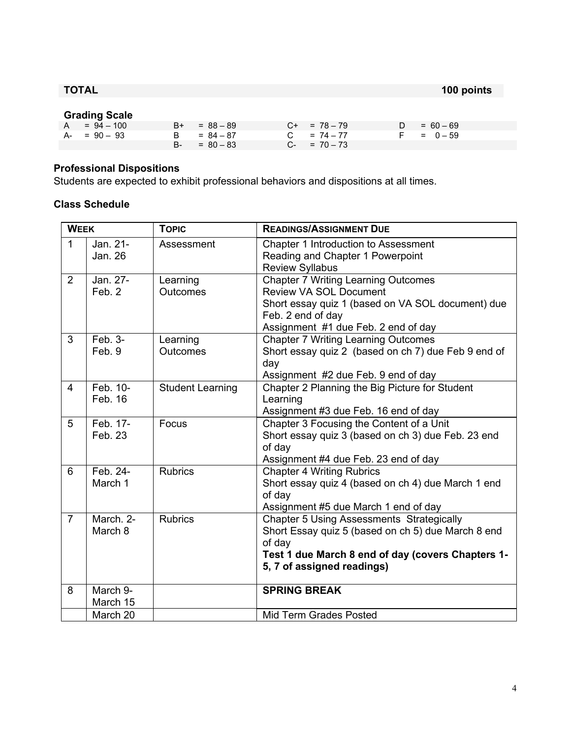**TOTAL 100 points**

#### **Grading Scale**

| .              |                |                   |               |
|----------------|----------------|-------------------|---------------|
| $A = 94 - 100$ | $B+ = 88 - 89$ | $C+ = 78-79$      | $D = 60 - 69$ |
| $A - 90 - 93$  | $B = 84 - 87$  | $C = 74 - 77$     | $F = 0 - 59$  |
|                | $B = 80 - 83$  | $C_{-}$ = 70 - 73 |               |

# **Professional Dispositions**

Students are expected to exhibit professional behaviors and dispositions at all times.

#### **Class Schedule**

| <b>WEEK</b>    |                      | <b>TOPIC</b>                | <b>READINGS/ASSIGNMENT DUE</b>                                                                                                                                                                      |
|----------------|----------------------|-----------------------------|-----------------------------------------------------------------------------------------------------------------------------------------------------------------------------------------------------|
| $\mathbf{1}$   | Jan. 21-<br>Jan. 26  | Assessment                  | Chapter 1 Introduction to Assessment<br>Reading and Chapter 1 Powerpoint<br><b>Review Syllabus</b>                                                                                                  |
| $\overline{2}$ | Jan. 27-<br>Feb. 2   | Learning<br><b>Outcomes</b> | <b>Chapter 7 Writing Learning Outcomes</b><br><b>Review VA SOL Document</b><br>Short essay quiz 1 (based on VA SOL document) due<br>Feb. 2 end of day<br>Assignment #1 due Feb. 2 end of day        |
| 3              | Feb. 3-<br>Feb. 9    | Learning<br><b>Outcomes</b> | <b>Chapter 7 Writing Learning Outcomes</b><br>Short essay quiz 2 (based on ch 7) due Feb 9 end of<br>day<br>Assignment #2 due Feb. 9 end of day                                                     |
| $\overline{4}$ | Feb. 10-<br>Feb. 16  | <b>Student Learning</b>     | Chapter 2 Planning the Big Picture for Student<br>Learning<br>Assignment #3 due Feb. 16 end of day                                                                                                  |
| 5              | Feb. 17-<br>Feb. 23  | Focus                       | Chapter 3 Focusing the Content of a Unit<br>Short essay quiz 3 (based on ch 3) due Feb. 23 end<br>of day<br>Assignment #4 due Feb. 23 end of day                                                    |
| 6              | Feb. 24-<br>March 1  | <b>Rubrics</b>              | <b>Chapter 4 Writing Rubrics</b><br>Short essay quiz 4 (based on ch 4) due March 1 end<br>of day<br>Assignment #5 due March 1 end of day                                                            |
| $\overline{7}$ | March. 2-<br>March 8 | <b>Rubrics</b>              | <b>Chapter 5 Using Assessments Strategically</b><br>Short Essay quiz 5 (based on ch 5) due March 8 end<br>of day<br>Test 1 due March 8 end of day (covers Chapters 1-<br>5, 7 of assigned readings) |
| 8              | March 9-<br>March 15 |                             | <b>SPRING BREAK</b>                                                                                                                                                                                 |
|                | March 20             |                             | Mid Term Grades Posted                                                                                                                                                                              |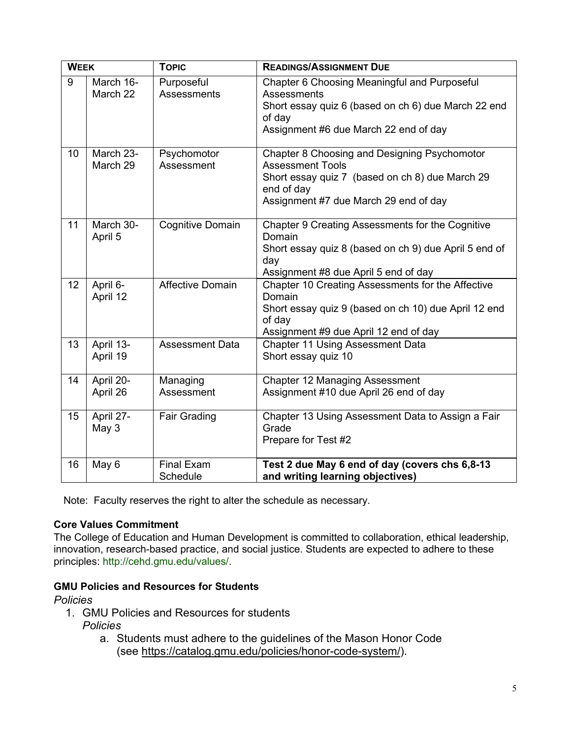| <b>WEEK</b> |                       | <b>TOPIC</b>                     | <b>READINGS/ASSIGNMENT DUE</b>                                                                                                                                                    |
|-------------|-----------------------|----------------------------------|-----------------------------------------------------------------------------------------------------------------------------------------------------------------------------------|
| 9           | March 16-<br>March 22 | Purposeful<br><b>Assessments</b> | Chapter 6 Choosing Meaningful and Purposeful<br><b>Assessments</b><br>Short essay quiz 6 (based on ch 6) due March 22 end<br>of day<br>Assignment #6 due March 22 end of day      |
| 10          | March 23-<br>March 29 | Psychomotor<br>Assessment        | Chapter 8 Choosing and Designing Psychomotor<br><b>Assessment Tools</b><br>Short essay quiz 7 (based on ch 8) due March 29<br>end of day<br>Assignment #7 due March 29 end of day |
| 11          | March 30-<br>April 5  | <b>Cognitive Domain</b>          | Chapter 9 Creating Assessments for the Cognitive<br>Domain<br>Short essay quiz 8 (based on ch 9) due April 5 end of<br>day<br>Assignment #8 due April 5 end of day                |
| 12          | April 6-<br>April 12  | <b>Affective Domain</b>          | Chapter 10 Creating Assessments for the Affective<br>Domain<br>Short essay quiz 9 (based on ch 10) due April 12 end<br>of day<br>Assignment #9 due April 12 end of day            |
| 13          | April 13-<br>April 19 | <b>Assessment Data</b>           | <b>Chapter 11 Using Assessment Data</b><br>Short essay quiz 10                                                                                                                    |
| 14          | April 20-<br>April 26 | Managing<br>Assessment           | <b>Chapter 12 Managing Assessment</b><br>Assignment #10 due April 26 end of day                                                                                                   |
| 15          | April 27-<br>May 3    | <b>Fair Grading</b>              | Chapter 13 Using Assessment Data to Assign a Fair<br>Grade<br>Prepare for Test #2                                                                                                 |
| 16          | May 6                 | <b>Final Exam</b><br>Schedule    | Test 2 due May 6 end of day (covers chs 6,8-13<br>and writing learning objectives)                                                                                                |

Note: Faculty reserves the right to alter the schedule as necessary.

#### **Core Values Commitment**

The College of Education and Human Development is committed to collaboration, ethical leadership, innovation, research-based practice, and social justice. Students are expected to adhere to these principles: http://cehd.gmu.edu/values/.

# **GMU Policies and Resources for Students**

## *Policies*

- 1. GMU Policies and Resources for students
	- *Policies*
		- a. Students must adhere to the guidelines of the Mason Honor Code (see [https://catalog.gmu.edu/policies/honor-code-system/\)](https://catalog.gmu.edu/policies/honor-code-system/).